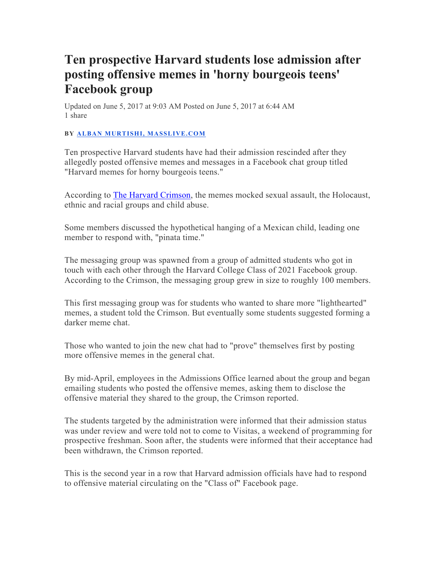## **Ten prospective Harvard students lose admission after posting offensive memes in 'horny bourgeois teens' Facebook group**

Updated on June 5, 2017 at 9:03 AM Posted on June 5, 2017 at 6:44 AM 1 share

## **BY ALBAN MURTISHI, MASSLIVE.COM**

Ten prospective Harvard students have had their admission rescinded after they allegedly posted offensive memes and messages in a Facebook chat group titled "Harvard memes for horny bourgeois teens."

According to The Harvard Crimson, the memes mocked sexual assault, the Holocaust, ethnic and racial groups and child abuse.

Some members discussed the hypothetical hanging of a Mexican child, leading one member to respond with, "pinata time."

The messaging group was spawned from a group of admitted students who got in touch with each other through the Harvard College Class of 2021 Facebook group. According to the Crimson, the messaging group grew in size to roughly 100 members.

This first messaging group was for students who wanted to share more "lighthearted" memes, a student told the Crimson. But eventually some students suggested forming a darker meme chat.

Those who wanted to join the new chat had to "prove" themselves first by posting more offensive memes in the general chat.

By mid-April, employees in the Admissions Office learned about the group and began emailing students who posted the offensive memes, asking them to disclose the offensive material they shared to the group, the Crimson reported.

The students targeted by the administration were informed that their admission status was under review and were told not to come to Visitas, a weekend of programming for prospective freshman. Soon after, the students were informed that their acceptance had been withdrawn, the Crimson reported.

This is the second year in a row that Harvard admission officials have had to respond to offensive material circulating on the "Class of" Facebook page.